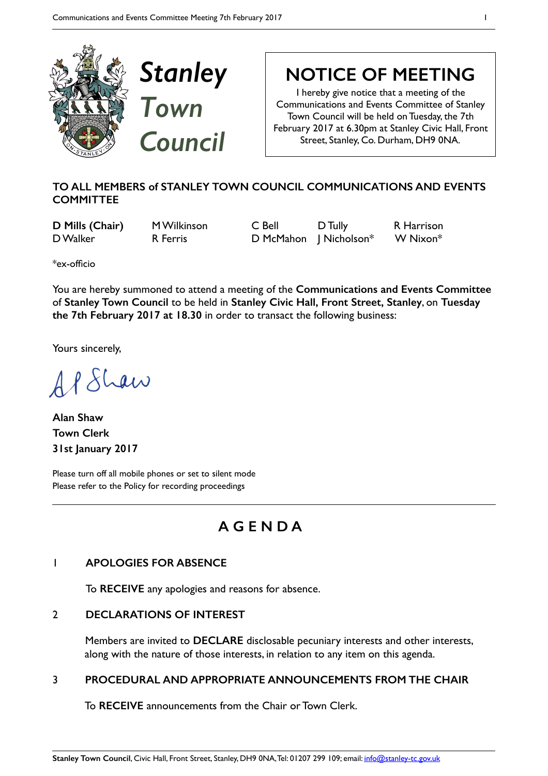

**NOTICE OF MEETING** 

I hereby give notice that a meeting of the Communications and Events Committee of Stanley Town Council will be held on Tuesday, the 7th February 2017 at 6.30pm at Stanley Civic Hall, Front Street, Stanley, Co. Durham, DH9 0NA.

# **TO ALL MEMBERS of STANLEY TOWN COUNCIL COMMUNICATIONS AND EVENTS COMMITTEE**

**D Mills (Chair)** M Wilkinson C Bell D Tully R Harrison D Walker **R Ferris** D McMahon | Nicholson<sup>\*</sup> W Nixon<sup>\*</sup>

\*ex-officio

You are hereby summoned to attend a meeting of the **Communications and Events Committee**  of **Stanley Town Council** to be held in **Stanley Civic Hall, Front Street, Stanley**, on **Tuesday the 7th February 2017 at 18.30** in order to transact the following business:

Yours sincerely,

AP Shaw

**Alan Shaw Town Clerk 31st January 2017** 

Please turn off all mobile phones or set to silent mode Please refer to the Policy for recording proceedings

# **A G E N D A**

# 1 **APOLOGIES FOR ABSENCE**

To **RECEIVE** any apologies and reasons for absence.

#### 2 **DECLARATIONS OF INTEREST**

Members are invited to **DECLARE** disclosable pecuniary interests and other interests, along with the nature of those interests, in relation to any item on this agenda.

#### 3 **PROCEDURAL AND APPROPRIATE ANNOUNCEMENTS FROM THE CHAIR**

To **RECEIVE** announcements from the Chair or Town Clerk.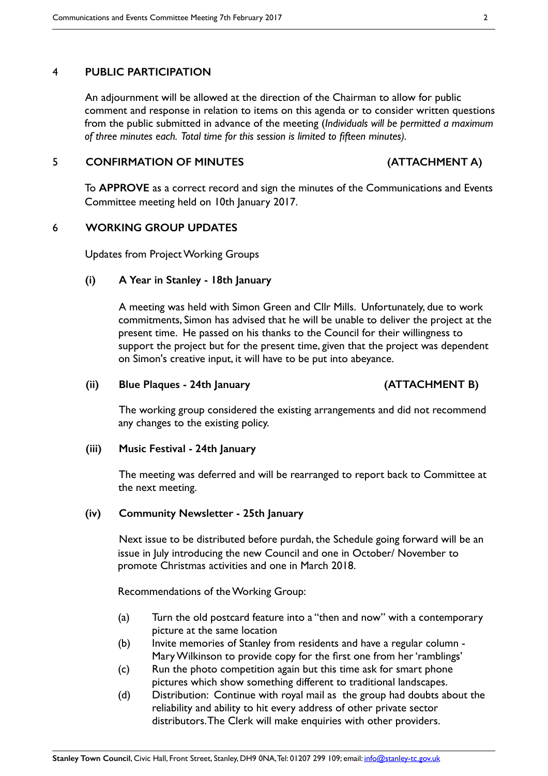#### 4 **PUBLIC PARTICIPATION**

An adjournment will be allowed at the direction of the Chairman to allow for public comment and response in relation to items on this agenda or to consider written questions from the public submitted in advance of the meeting (*Individuals will be permitted a maximum of three minutes each. Total time for this session is limited to fifteen minutes).*

#### 5 **CONFIRMATION OF MINUTES (ATTACHMENT A)**

To **APPROVE** as a correct record and sign the minutes of the Communications and Events Committee meeting held on 10th January 2017.

#### 6 **WORKING GROUP UPDATES**

Updates from Project Working Groups

#### **(i) A Year in Stanley - 18th January**

A meeting was held with Simon Green and Cllr Mills. Unfortunately, due to work commitments, Simon has advised that he will be unable to deliver the project at the present time. He passed on his thanks to the Council for their willingness to support the project but for the present time, given that the project was dependent on Simon's creative input, it will have to be put into abeyance.

#### **(ii) Blue Plaques - 24th January (ATTACHMENT B)**

The working group considered the existing arrangements and did not recommend any changes to the existing policy.

#### **(iii) Music Festival - 24th January**

The meeting was deferred and will be rearranged to report back to Committee at the next meeting.

#### **(iv) Community Newsletter - 25th January**

Next issue to be distributed before purdah, the Schedule going forward will be an issue in July introducing the new Council and one in October/ November to promote Christmas activities and one in March 2018.

Recommendations of the Working Group:

- (a) Turn the old postcard feature into a "then and now" with a contemporary picture at the same location
- (b) Invite memories of Stanley from residents and have a regular column Mary Wilkinson to provide copy for the first one from her 'ramblings'
- (c) Run the photo competition again but this time ask for smart phone pictures which show something different to traditional landscapes.
- (d) Distribution: Continue with royal mail as the group had doubts about the reliability and ability to hit every address of other private sector distributors. The Clerk will make enquiries with other providers.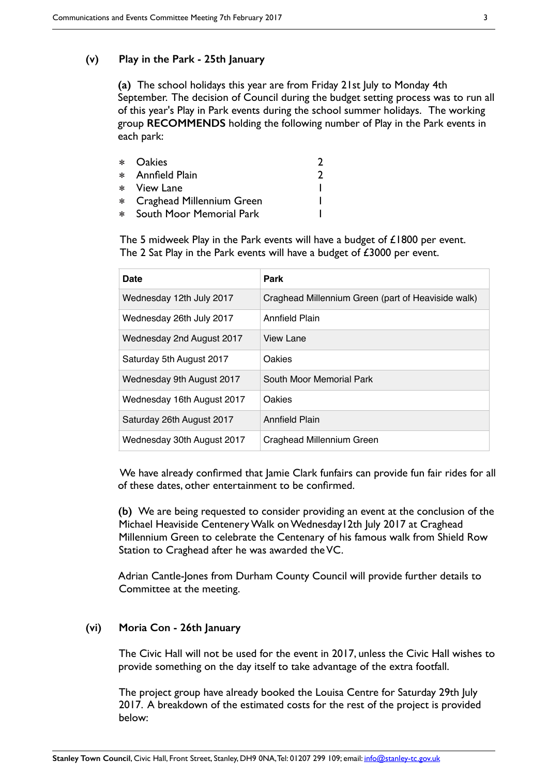#### **(v) Play in the Park - 25th January**

**(a)** The school holidays this year are from Friday 21st July to Monday 4th September. The decision of Council during the budget setting process was to run all of this year's Play in Park events during the school summer holidays. The working group **RECOMMENDS** holding the following number of Play in the Park events in each park:

| * Oakies                    |  |
|-----------------------------|--|
| * Annfield Plain            |  |
| * View Lane                 |  |
| * Craghead Millennium Green |  |
| * South Moor Memorial Park  |  |

The 5 midweek Play in the Park events will have a budget of £1800 per event. The 2 Sat Play in the Park events will have a budget of £3000 per event.

| Date                       | Park                                               |
|----------------------------|----------------------------------------------------|
| Wednesday 12th July 2017   | Craghead Millennium Green (part of Heaviside walk) |
| Wednesday 26th July 2017   | <b>Annfield Plain</b>                              |
| Wednesday 2nd August 2017  | View Lane                                          |
| Saturday 5th August 2017   | Oakies                                             |
| Wednesday 9th August 2017  | South Moor Memorial Park                           |
| Wednesday 16th August 2017 | <b>Oakies</b>                                      |
| Saturday 26th August 2017  | <b>Annfield Plain</b>                              |
| Wednesday 30th August 2017 | Craghead Millennium Green                          |

We have already confirmed that Jamie Clark funfairs can provide fun fair rides for all of these dates, other entertainment to be confirmed.

**(b)** We are being requested to consider providing an event at the conclusion of the Michael Heaviside Centenery Walk on Wednesday12th July 2017 at Craghead Millennium Green to celebrate the Centenary of his famous walk from Shield Row Station to Craghead after he was awarded the VC.

Adrian Cantle-Jones from Durham County Council will provide further details to Committee at the meeting.

#### **(vi) Moria Con - 26th January**

The Civic Hall will not be used for the event in 2017, unless the Civic Hall wishes to provide something on the day itself to take advantage of the extra footfall.

The project group have already booked the Louisa Centre for Saturday 29th July 2017. A breakdown of the estimated costs for the rest of the project is provided below: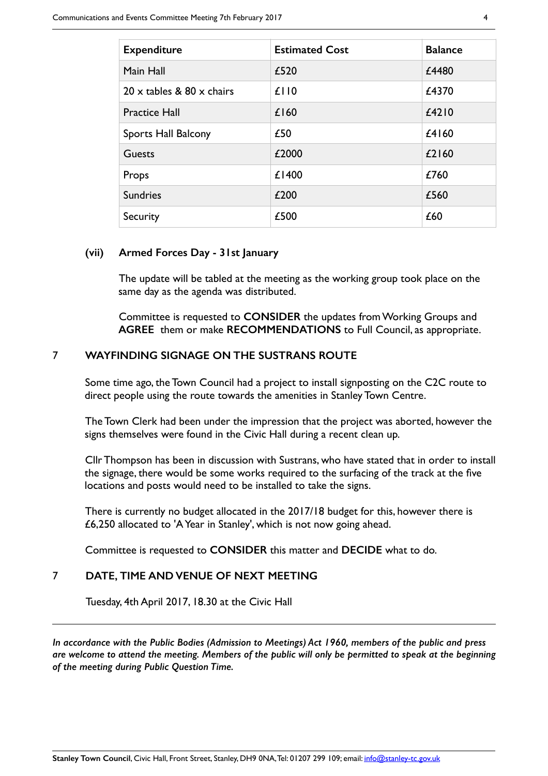| <b>Expenditure</b>                      | <b>Estimated Cost</b> | <b>Balance</b> |
|-----------------------------------------|-----------------------|----------------|
| Main Hall                               | £520                  | £4480          |
| $20 \times$ tables & 80 $\times$ chairs | £110                  | £4370          |
| <b>Practice Hall</b>                    | £160                  | £4210          |
| <b>Sports Hall Balcony</b>              | £50                   | £4160          |
| <b>Guests</b>                           | £2000                 | £2160          |
| Props                                   | £1400                 | £760           |
| <b>Sundries</b>                         | £200                  | £560           |
| Security                                | £500                  | £60            |

#### **(vii) Armed Forces Day - 31st January**

The update will be tabled at the meeting as the working group took place on the same day as the agenda was distributed.

Committee is requested to **CONSIDER** the updates from Working Groups and **AGREE** them or make **RECOMMENDATIONS** to Full Council, as appropriate.

#### 7 **WAYFINDING SIGNAGE ON THE SUSTRANS ROUTE**

Some time ago, the Town Council had a project to install signposting on the C2C route to direct people using the route towards the amenities in Stanley Town Centre.

The Town Clerk had been under the impression that the project was aborted, however the signs themselves were found in the Civic Hall during a recent clean up.

Cllr Thompson has been in discussion with Sustrans, who have stated that in order to install the signage, there would be some works required to the surfacing of the track at the five locations and posts would need to be installed to take the signs.

There is currently no budget allocated in the 2017/18 budget for this, however there is £6,250 allocated to 'A Year in Stanley', which is not now going ahead.

Committee is requested to **CONSIDER** this matter and **DECIDE** what to do.

#### 7 **DATE, TIME AND VENUE OF NEXT MEETING**

Tuesday, 4th April 2017, 18.30 at the Civic Hall

*In accordance with the Public Bodies (Admission to Meetings) Act 1960, members of the public and press are welcome to attend the meeting. Members of the public will only be permitted to speak at the beginning of the meeting during Public Question Time.*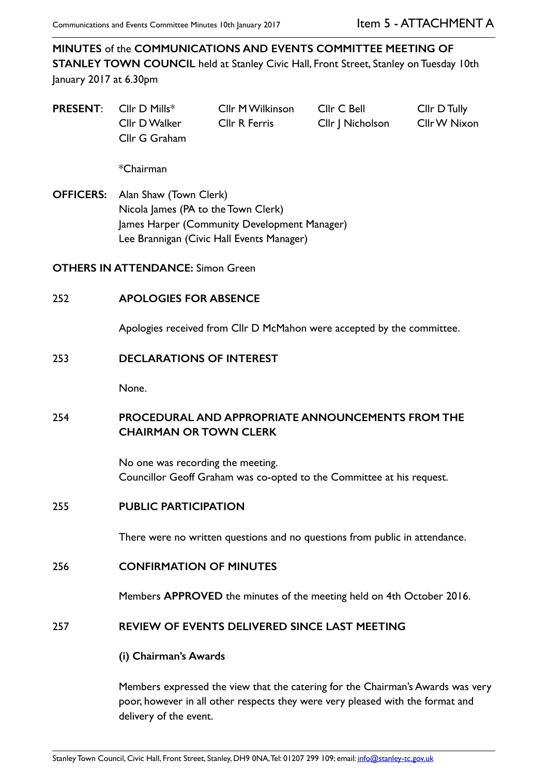**MINUTES** of the **COMMUNICATIONS AND EVENTS COMMITTEE MEETING OF STANLEY TOWN COUNCIL** held at Stanley Civic Hall, Front Street, Stanley on Tuesday 10th January 2017 at 6.30pm

**PRESENT:** Cllr D Mills\* Cllr M Wilkinson Cllr C Bell Cllr D Tully Cllr D Walker Cllr R Ferris Cllr J Nicholson Cllr W Nixon Cllr G Graham

\*Chairman

**OFFICERS:** Alan Shaw (Town Clerk) Nicola James (PA to the Town Clerk) James Harper (Community Development Manager) Lee Brannigan (Civic Hall Events Manager)

**OTHERS IN ATTENDANCE:** Simon Green

### 252 **APOLOGIES FOR ABSENCE**

Apologies received from Cllr D McMahon were accepted by the committee.

#### 253 **DECLARATIONS OF INTEREST**

None.

# 254 **PROCEDURAL AND APPROPRIATE ANNOUNCEMENTS FROM THE CHAIRMAN OR TOWN CLERK**

No one was recording the meeting. Councillor Geoff Graham was co-opted to the Committee at his request.

#### 255 **PUBLIC PARTICIPATION**

There were no written questions and no questions from public in attendance.

#### 256 **CONFIRMATION OF MINUTES**

Members **APPROVED** the minutes of the meeting held on 4th October 2016.

#### 257 **REVIEW OF EVENTS DELIVERED SINCE LAST MEETING**

**(i) Chairman's Awards** 

Members expressed the view that the catering for the Chairman's Awards was very poor, however in all other respects they were very pleased with the format and delivery of the event.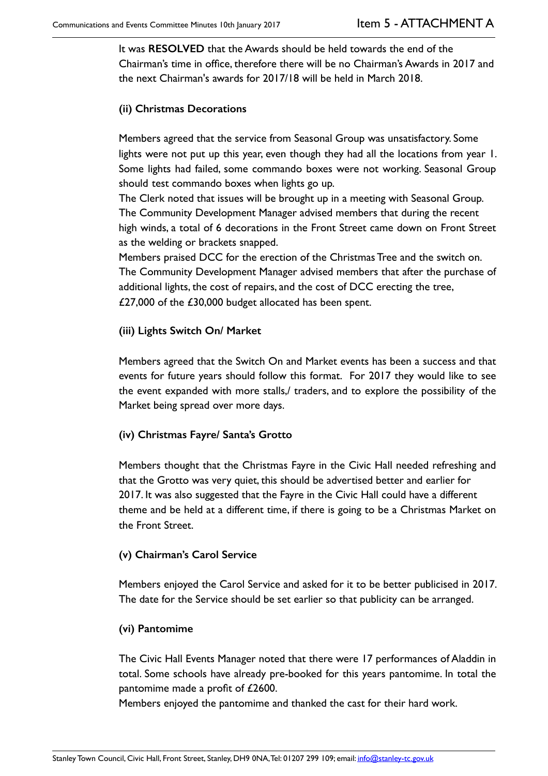It was **RESOLVED** that the Awards should be held towards the end of the Chairman's time in office, therefore there will be no Chairman's Awards in 2017 and the next Chairman's awards for 2017/18 will be held in March 2018.

## **(ii) Christmas Decorations**

Members agreed that the service from Seasonal Group was unsatisfactory. Some lights were not put up this year, even though they had all the locations from year 1. Some lights had failed, some commando boxes were not working. Seasonal Group should test commando boxes when lights go up.

The Clerk noted that issues will be brought up in a meeting with Seasonal Group. The Community Development Manager advised members that during the recent high winds, a total of 6 decorations in the Front Street came down on Front Street as the welding or brackets snapped.

Members praised DCC for the erection of the Christmas Tree and the switch on. The Community Development Manager advised members that after the purchase of additional lights, the cost of repairs, and the cost of DCC erecting the tree, £27,000 of the £30,000 budget allocated has been spent.

### **(iii) Lights Switch On/ Market**

Members agreed that the Switch On and Market events has been a success and that events for future years should follow this format. For 2017 they would like to see the event expanded with more stalls,/ traders, and to explore the possibility of the Market being spread over more days.

# **(iv) Christmas Fayre/ Santa's Grotto**

Members thought that the Christmas Fayre in the Civic Hall needed refreshing and that the Grotto was very quiet, this should be advertised better and earlier for 2017. It was also suggested that the Fayre in the Civic Hall could have a different theme and be held at a different time, if there is going to be a Christmas Market on the Front Street.

#### **(v) Chairman's Carol Service**

Members enjoyed the Carol Service and asked for it to be better publicised in 2017. The date for the Service should be set earlier so that publicity can be arranged.

#### **(vi) Pantomime**

The Civic Hall Events Manager noted that there were 17 performances of Aladdin in total. Some schools have already pre-booked for this years pantomime. In total the pantomime made a profit of £2600.

Members enjoyed the pantomime and thanked the cast for their hard work.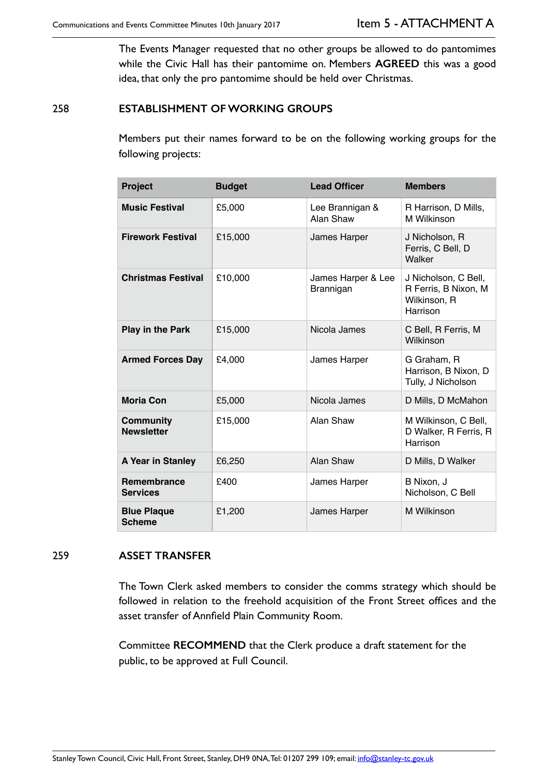The Events Manager requested that no other groups be allowed to do pantomimes while the Civic Hall has their pantomime on. Members **AGREED** this was a good idea, that only the pro pantomime should be held over Christmas.

### 258 **ESTABLISHMENT OF WORKING GROUPS**

Members put their names forward to be on the following working groups for the following projects:

| Project                               | <b>Budget</b> | <b>Lead Officer</b>             | <b>Members</b>                                                           |
|---------------------------------------|---------------|---------------------------------|--------------------------------------------------------------------------|
| <b>Music Festival</b>                 | £5,000        | Lee Brannigan &<br>Alan Shaw    | R Harrison, D Mills,<br>M Wilkinson                                      |
| <b>Firework Festival</b>              | £15,000       | James Harper                    | J Nicholson, R<br>Ferris, C Bell, D<br>Walker                            |
| <b>Christmas Festival</b>             | £10,000       | James Harper & Lee<br>Brannigan | J Nicholson, C Bell,<br>R Ferris, B Nixon, M<br>Wilkinson, R<br>Harrison |
| <b>Play in the Park</b>               | £15,000       | Nicola James                    | C Bell, R Ferris, M<br>Wilkinson                                         |
| <b>Armed Forces Day</b>               | £4,000        | James Harper                    | G Graham, R<br>Harrison, B Nixon, D<br>Tully, J Nicholson                |
| <b>Moria Con</b>                      | £5,000        | Nicola James                    | D Mills, D McMahon                                                       |
| <b>Community</b><br><b>Newsletter</b> | £15,000       | Alan Shaw                       | M Wilkinson, C Bell,<br>D Walker, R Ferris, R<br>Harrison                |
| A Year in Stanley                     | £6,250        | Alan Shaw                       | D Mills, D Walker                                                        |
| <b>Remembrance</b><br><b>Services</b> | £400          | James Harper                    | B Nixon, J<br>Nicholson, C Bell                                          |
| <b>Blue Plaque</b><br><b>Scheme</b>   | £1,200        | James Harper                    | M Wilkinson                                                              |

#### 259 **ASSET TRANSFER**

The Town Clerk asked members to consider the comms strategy which should be followed in relation to the freehold acquisition of the Front Street offices and the asset transfer of Annfield Plain Community Room.

Committee **RECOMMEND** that the Clerk produce a draft statement for the public, to be approved at Full Council.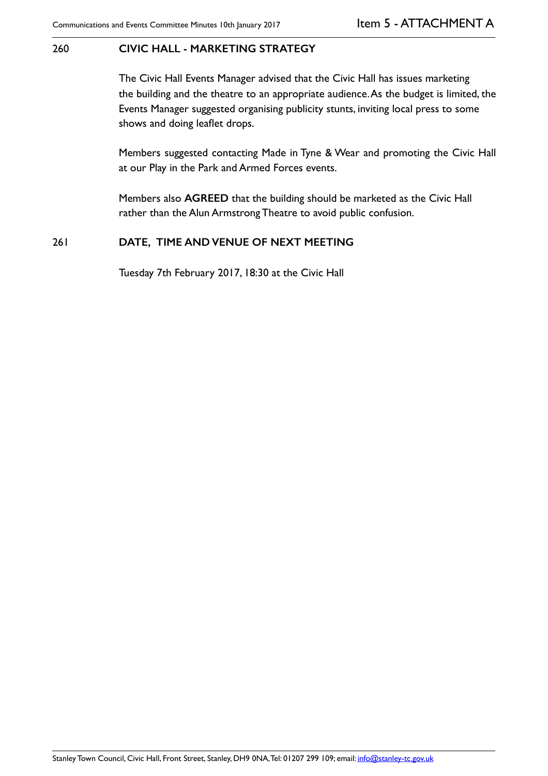#### 260 **CIVIC HALL - MARKETING STRATEGY**

The Civic Hall Events Manager advised that the Civic Hall has issues marketing the building and the theatre to an appropriate audience. As the budget is limited, the Events Manager suggested organising publicity stunts, inviting local press to some shows and doing leaflet drops.

Members suggested contacting Made in Tyne & Wear and promoting the Civic Hall at our Play in the Park and Armed Forces events.

Members also **AGREED** that the building should be marketed as the Civic Hall rather than the Alun Armstrong Theatre to avoid public confusion.

#### 261 **DATE, TIME AND VENUE OF NEXT MEETING**

Tuesday 7th February 2017, 18:30 at the Civic Hall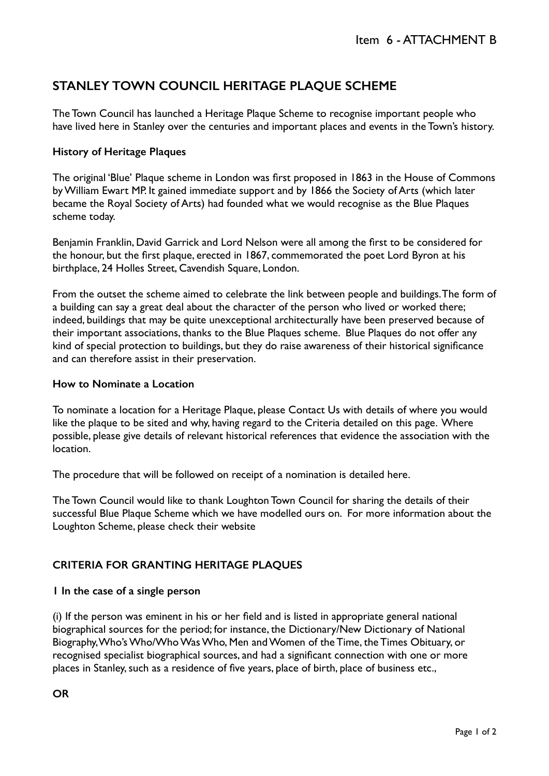# **STANLEY TOWN COUNCIL HERITAGE PLAQUE SCHEME**

The Town Council has launched a Heritage Plaque Scheme to recognise important people who have lived here in Stanley over the centuries and important places and events in the Town's history.

# **History of Heritage Plaques**

The original 'Blue' Plaque scheme in London was first proposed in 1863 in the House of Commons by William Ewart MP. It gained immediate support and by 1866 the Society of Arts (which later became the Royal Society of Arts) had founded what we would recognise as the Blue Plaques scheme today.

Benjamin Franklin, David Garrick and Lord Nelson were all among the first to be considered for the honour, but the first plaque, erected in 1867, commemorated the poet Lord Byron at his birthplace, 24 Holles Street, Cavendish Square, London.

From the outset the scheme aimed to celebrate the link between people and buildings. The form of a building can say a great deal about the character of the person who lived or worked there; indeed, buildings that may be quite unexceptional architecturally have been preserved because of their important associations, thanks to the Blue Plaques scheme. Blue Plaques do not offer any kind of special protection to buildings, but they do raise awareness of their historical significance and can therefore assist in their preservation.

### **How to Nominate a Location**

To nominate a location for a Heritage Plaque, please Contact Us with details of where you would like the plaque to be sited and why, having regard to the Criteria detailed on this page. Where possible, please give details of relevant historical references that evidence the association with the location.

The procedure that will be followed on receipt of a nomination is detailed here.

The Town Council would like to thank Loughton Town Council for sharing the details of their successful Blue Plaque Scheme which we have modelled ours on. For more information about the Loughton Scheme, please check their website

# **CRITERIA FOR GRANTING HERITAGE PLAQUES**

# **1 In the case of a single person**

(i) If the person was eminent in his or her field and is listed in appropriate general national biographical sources for the period; for instance, the Dictionary/New Dictionary of National Biography, Who's Who/Who Was Who, Men and Women of the Time, the Times Obituary, or recognised specialist biographical sources, and had a significant connection with one or more places in Stanley, such as a residence of five years, place of birth, place of business etc.,